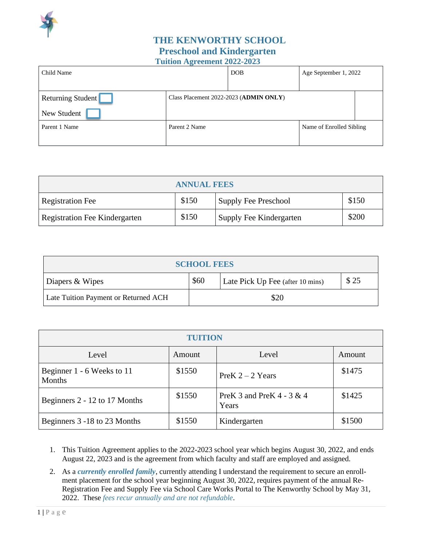

## **THE KENWORTHY SCHOOL Preschool and Kindergarten Tuition Agreement 2022-2023**

| Child Name               |                                        | <b>DOB</b> | Age September 1, 2022    |  |
|--------------------------|----------------------------------------|------------|--------------------------|--|
|                          |                                        |            |                          |  |
| <b>Returning Student</b> | Class Placement 2022-2023 (ADMIN ONLY) |            |                          |  |
| New Student              |                                        |            |                          |  |
| Parent 1 Name            | Parent 2 Name                          |            | Name of Enrolled Sibling |  |
|                          |                                        |            |                          |  |

| <b>ANNUAL FEES</b>                                                |       |                         |       |
|-------------------------------------------------------------------|-------|-------------------------|-------|
| \$150<br>\$150<br>Supply Fee Preschool<br><b>Registration Fee</b> |       |                         |       |
| Registration Fee Kindergarten                                     | \$150 | Supply Fee Kindergarten | \$200 |

| <b>SCHOOL FEES</b>                   |                                                  |  |  |  |
|--------------------------------------|--------------------------------------------------|--|--|--|
| Diapers & Wipes                      | \$25<br>\$60<br>Late Pick Up Fee (after 10 mins) |  |  |  |
| Late Tuition Payment or Returned ACH | \$20                                             |  |  |  |

| <b>TUITION</b>                       |        |                                       |        |
|--------------------------------------|--------|---------------------------------------|--------|
| Level                                | Amount | Level                                 | Amount |
| Beginner 1 - 6 Weeks to 11<br>Months | \$1550 | PreK $2 - 2$ Years                    | \$1475 |
| Beginners 2 - 12 to 17 Months        | \$1550 | PreK 3 and PreK $4 - 3 \& 4$<br>Years | \$1425 |
| Beginners 3 -18 to 23 Months         | \$1550 | Kindergarten                          | \$1500 |

- 1. This Tuition Agreement applies to the 2022-2023 school year which begins August 30, 2022, and ends August 22, 2023 and is the agreement from which faculty and staff are employed and assigned.
- 2. As a *currently enrolled family*, currently attending I understand the requirement to secure an enrollment placement for the school year beginning August 30, 2022, requires payment of the annual Re-Registration Fee and Supply Fee via School Care Works Portal to The Kenworthy School by May 31, 2022. These *fees recur annually and are not refundable*.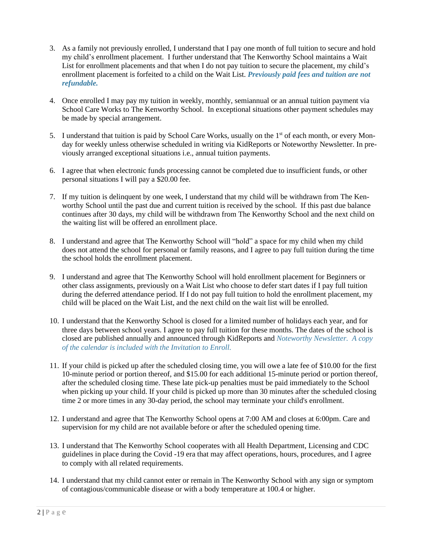- 3. As a family not previously enrolled, I understand that I pay one month of full tuition to secure and hold my child's enrollment placement. I further understand that The Kenworthy School maintains a Wait List for enrollment placements and that when I do not pay tuition to secure the placement, my child's enrollment placement is forfeited to a child on the Wait List. *Previously paid fees and tuition are not refundable.*
- 4. Once enrolled I may pay my tuition in weekly, monthly, semiannual or an annual tuition payment via School Care Works to The Kenworthy School. In exceptional situations other payment schedules may be made by special arrangement.
- 5. I understand that tuition is paid by School Care Works, usually on the 1<sup>st</sup> of each month, or every Monday for weekly unless otherwise scheduled in writing via KidReports or Noteworthy Newsletter. In previously arranged exceptional situations i.e., annual tuition payments.
- 6. I agree that when electronic funds processing cannot be completed due to insufficient funds, or other personal situations I will pay a \$20.00 fee.
- 7. If my tuition is delinquent by one week, I understand that my child will be withdrawn from The Kenworthy School until the past due and current tuition is received by the school. If this past due balance continues after 30 days, my child will be withdrawn from The Kenworthy School and the next child on the waiting list will be offered an enrollment place.
- 8. I understand and agree that The Kenworthy School will "hold" a space for my child when my child does not attend the school for personal or family reasons, and I agree to pay full tuition during the time the school holds the enrollment placement.
- 9. I understand and agree that The Kenworthy School will hold enrollment placement for Beginners or other class assignments, previously on a Wait List who choose to defer start dates if I pay full tuition during the deferred attendance period. If I do not pay full tuition to hold the enrollment placement, my child will be placed on the Wait List, and the next child on the wait list will be enrolled.
- 10. I understand that the Kenworthy School is closed for a limited number of holidays each year, and for three days between school years. I agree to pay full tuition for these months. The dates of the school is closed are published annually and announced through KidReports and *Noteworthy Newsletter. A copy of the calendar is included with the Invitation to Enroll.*
- 11. If your child is picked up after the scheduled closing time, you will owe a late fee of \$10.00 for the first 10-minute period or portion thereof, and \$15.00 for each additional 15-minute period or portion thereof, after the scheduled closing time. These late pick-up penalties must be paid immediately to the School when picking up your child. If your child is picked up more than 30 minutes after the scheduled closing time 2 or more times in any 30-day period, the school may terminate your child's enrollment.
- 12. I understand and agree that The Kenworthy School opens at 7:00 AM and closes at 6:00pm. Care and supervision for my child are not available before or after the scheduled opening time.
- 13. I understand that The Kenworthy School cooperates with all Health Department, Licensing and CDC guidelines in place during the Covid -19 era that may affect operations, hours, procedures, and I agree to comply with all related requirements.
- 14. I understand that my child cannot enter or remain in The Kenworthy School with any sign or symptom of contagious/communicable disease or with a body temperature at 100.4 or higher.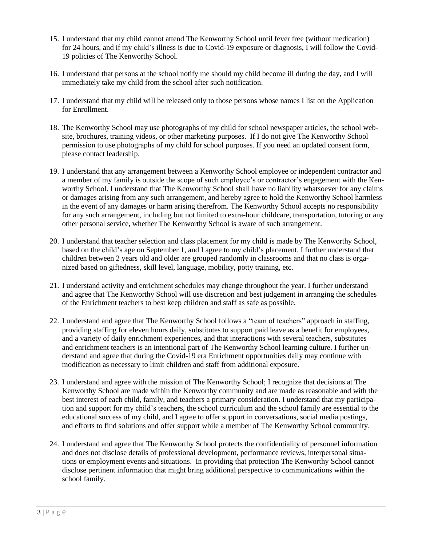- 15. I understand that my child cannot attend The Kenworthy School until fever free (without medication) for 24 hours, and if my child's illness is due to Covid-19 exposure or diagnosis, I will follow the Covid-19 policies of The Kenworthy School.
- 16. I understand that persons at the school notify me should my child become ill during the day, and I will immediately take my child from the school after such notification.
- 17. I understand that my child will be released only to those persons whose names I list on the Application for Enrollment.
- 18. The Kenworthy School may use photographs of my child for school newspaper articles, the school website, brochures, training videos, or other marketing purposes. If I do not give The Kenworthy School permission to use photographs of my child for school purposes. If you need an updated consent form, please contact leadership.
- 19. I understand that any arrangement between a Kenworthy School employee or independent contractor and a member of my family is outside the scope of such employee's or contractor's engagement with the Kenworthy School. I understand that The Kenworthy School shall have no liability whatsoever for any claims or damages arising from any such arrangement, and hereby agree to hold the Kenworthy School harmless in the event of any damages or harm arising therefrom. The Kenworthy School accepts no responsibility for any such arrangement, including but not limited to extra-hour childcare, transportation, tutoring or any other personal service, whether The Kenworthy School is aware of such arrangement.
- 20. I understand that teacher selection and class placement for my child is made by The Kenworthy School, based on the child's age on September 1, and I agree to my child's placement. I further understand that children between 2 years old and older are grouped randomly in classrooms and that no class is organized based on giftedness, skill level, language, mobility, potty training, etc.
- 21. I understand activity and enrichment schedules may change throughout the year. I further understand and agree that The Kenworthy School will use discretion and best judgement in arranging the schedules of the Enrichment teachers to best keep children and staff as safe as possible.
- 22. I understand and agree that The Kenworthy School follows a "team of teachers" approach in staffing, providing staffing for eleven hours daily, substitutes to support paid leave as a benefit for employees, and a variety of daily enrichment experiences, and that interactions with several teachers, substitutes and enrichment teachers is an intentional part of The Kenworthy School learning culture. I further understand and agree that during the Covid-19 era Enrichment opportunities daily may continue with modification as necessary to limit children and staff from additional exposure.
- 23. I understand and agree with the mission of The Kenworthy School; I recognize that decisions at The Kenworthy School are made within the Kenworthy community and are made as reasonable and with the best interest of each child, family, and teachers a primary consideration. I understand that my participation and support for my child's teachers, the school curriculum and the school family are essential to the educational success of my child, and I agree to offer support in conversations, social media postings, and efforts to find solutions and offer support while a member of The Kenworthy School community.
- 24. I understand and agree that The Kenworthy School protects the confidentiality of personnel information and does not disclose details of professional development, performance reviews, interpersonal situations or employment events and situations. In providing that protection The Kenworthy School cannot disclose pertinent information that might bring additional perspective to communications within the school family.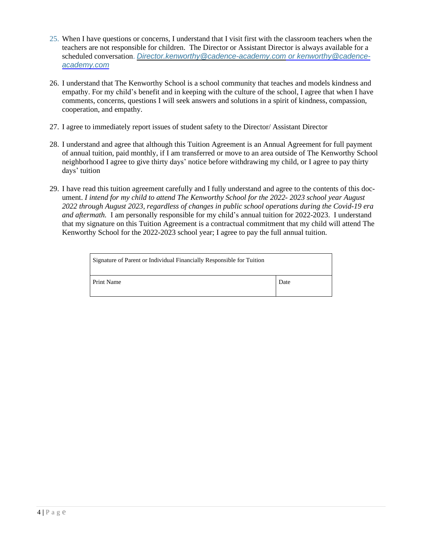- 25. When I have questions or concerns, I understand that I visit first with the classroom teachers when the teachers are not responsible for children. The Director or Assistant Director is always available for a scheduled conversation. *[Director.kenworthy@cadence-academy.com](mailto:Director.kenworthy@cadence-academy.com) or kenworthy@cadenceacademy.com*
- 26. I understand that The Kenworthy School is a school community that teaches and models kindness and empathy. For my child's benefit and in keeping with the culture of the school, I agree that when I have comments, concerns, questions I will seek answers and solutions in a spirit of kindness, compassion, cooperation, and empathy.
- 27. I agree to immediately report issues of student safety to the Director/ Assistant Director
- 28. I understand and agree that although this Tuition Agreement is an Annual Agreement for full payment of annual tuition, paid monthly, if I am transferred or move to an area outside of The Kenworthy School neighborhood I agree to give thirty days' notice before withdrawing my child, or I agree to pay thirty days' tuition
- 29. I have read this tuition agreement carefully and I fully understand and agree to the contents of this document. *I intend for my child to attend The Kenworthy School for the 2022- 2023 school year August 2022 through August 2023, regardless of changes in public school operations during the Covid-19 era and aftermath.* I am personally responsible for my child's annual tuition for 2022-2023. I understand that my signature on this Tuition Agreement is a contractual commitment that my child will attend The Kenworthy School for the 2022-2023 school year; I agree to pay the full annual tuition.

| Signature of Parent or Individual Financially Responsible for Tuition |      |  |
|-----------------------------------------------------------------------|------|--|
| Print Name                                                            | Date |  |